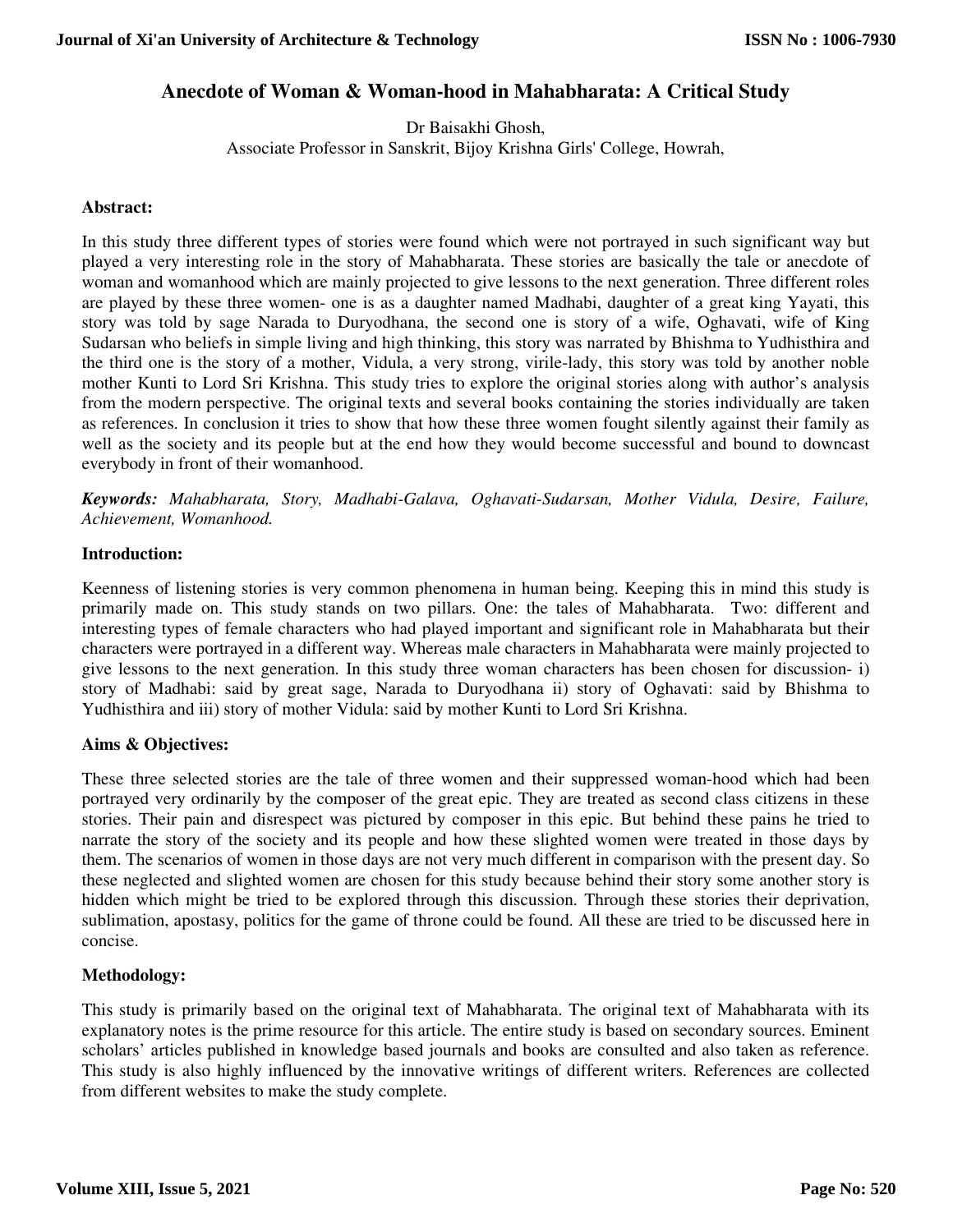# **Anecdote of Woman & Woman-hood in Mahabharata: A Critical Study**

Dr Baisakhi Ghosh, Associate Professor in Sanskrit, Bijoy Krishna Girls' College, Howrah,

### **Abstract:**

In this study three different types of stories were found which were not portrayed in such significant way but played a very interesting role in the story of Mahabharata. These stories are basically the tale or anecdote of woman and womanhood which are mainly projected to give lessons to the next generation. Three different roles are played by these three women- one is as a daughter named Madhabi, daughter of a great king Yayati, this story was told by sage Narada to Duryodhana, the second one is story of a wife, Oghavati, wife of King Sudarsan who beliefs in simple living and high thinking, this story was narrated by Bhishma to Yudhisthira and the third one is the story of a mother, Vidula, a very strong, virile-lady, this story was told by another noble mother Kunti to Lord Sri Krishna. This study tries to explore the original stories along with author's analysis from the modern perspective. The original texts and several books containing the stories individually are taken as references. In conclusion it tries to show that how these three women fought silently against their family as well as the society and its people but at the end how they would become successful and bound to downcast everybody in front of their womanhood.

*Keywords: Mahabharata, Story, Madhabi-Galava, Oghavati-Sudarsan, Mother Vidula, Desire, Failure, Achievement, Womanhood.* 

### **Introduction:**

Keenness of listening stories is very common phenomena in human being. Keeping this in mind this study is primarily made on. This study stands on two pillars. One: the tales of Mahabharata. Two: different and interesting types of female characters who had played important and significant role in Mahabharata but their characters were portrayed in a different way. Whereas male characters in Mahabharata were mainly projected to give lessons to the next generation. In this study three woman characters has been chosen for discussion- i) story of Madhabi: said by great sage, Narada to Duryodhana ii) story of Oghavati: said by Bhishma to Yudhisthira and iii) story of mother Vidula: said by mother Kunti to Lord Sri Krishna.

## **Aims & Objectives:**

These three selected stories are the tale of three women and their suppressed woman-hood which had been portrayed very ordinarily by the composer of the great epic. They are treated as second class citizens in these stories. Their pain and disrespect was pictured by composer in this epic. But behind these pains he tried to narrate the story of the society and its people and how these slighted women were treated in those days by them. The scenarios of women in those days are not very much different in comparison with the present day. So these neglected and slighted women are chosen for this study because behind their story some another story is hidden which might be tried to be explored through this discussion. Through these stories their deprivation, sublimation, apostasy, politics for the game of throne could be found. All these are tried to be discussed here in concise.

## **Methodology:**

This study is primarily based on the original text of Mahabharata. The original text of Mahabharata with its explanatory notes is the prime resource for this article. The entire study is based on secondary sources. Eminent scholars' articles published in knowledge based journals and books are consulted and also taken as reference. This study is also highly influenced by the innovative writings of different writers. References are collected from different websites to make the study complete.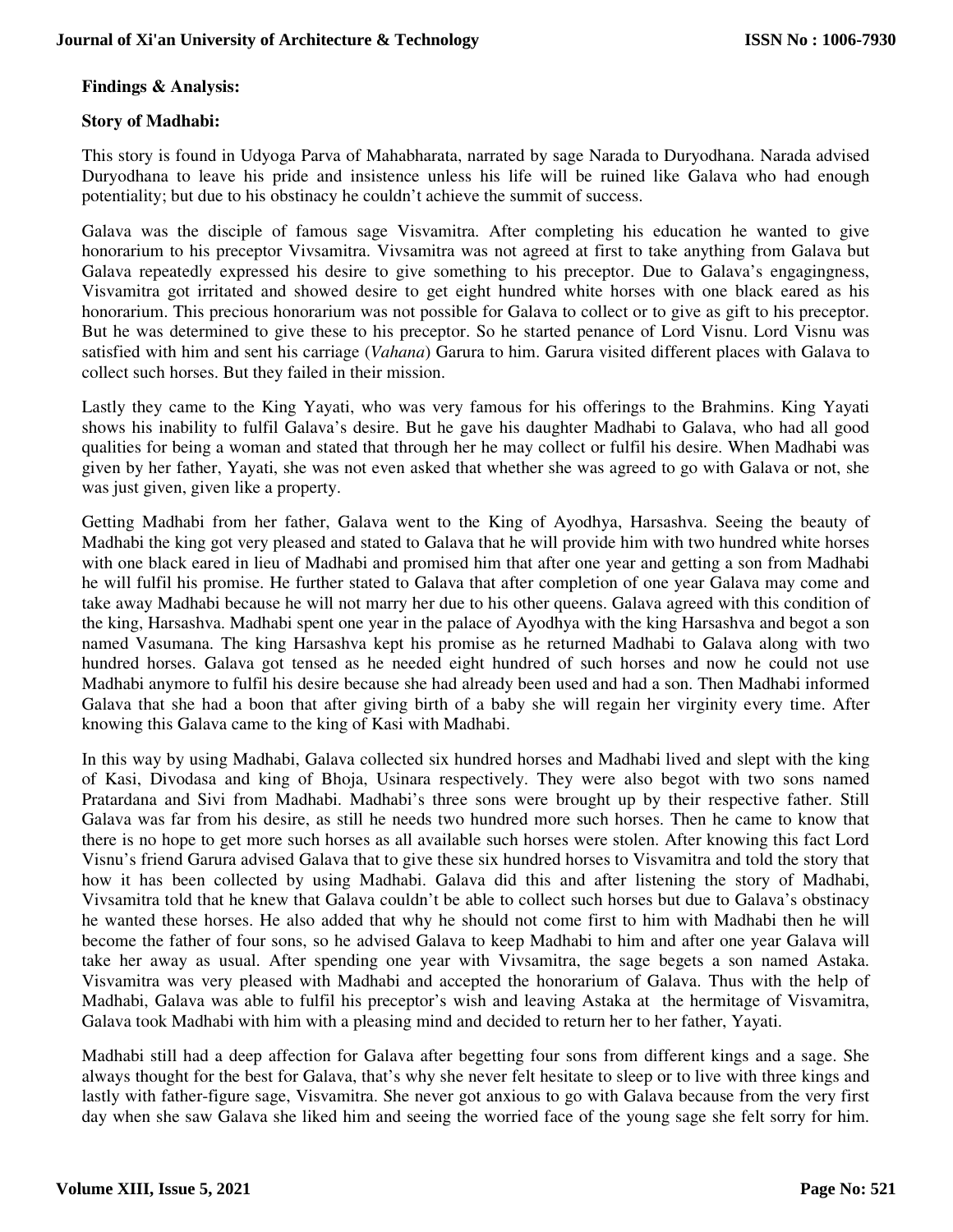# **Findings & Analysis:**

## **Story of Madhabi:**

This story is found in Udyoga Parva of Mahabharata, narrated by sage Narada to Duryodhana. Narada advised Duryodhana to leave his pride and insistence unless his life will be ruined like Galava who had enough potentiality; but due to his obstinacy he couldn't achieve the summit of success.

Galava was the disciple of famous sage Visvamitra. After completing his education he wanted to give honorarium to his preceptor Vivsamitra. Vivsamitra was not agreed at first to take anything from Galava but Galava repeatedly expressed his desire to give something to his preceptor. Due to Galava's engagingness, Visvamitra got irritated and showed desire to get eight hundred white horses with one black eared as his honorarium. This precious honorarium was not possible for Galava to collect or to give as gift to his preceptor. But he was determined to give these to his preceptor. So he started penance of Lord Visnu. Lord Visnu was satisfied with him and sent his carriage (*Vahana*) Garura to him. Garura visited different places with Galava to collect such horses. But they failed in their mission.

Lastly they came to the King Yayati, who was very famous for his offerings to the Brahmins. King Yayati shows his inability to fulfil Galava's desire. But he gave his daughter Madhabi to Galava, who had all good qualities for being a woman and stated that through her he may collect or fulfil his desire. When Madhabi was given by her father, Yayati, she was not even asked that whether she was agreed to go with Galava or not, she was just given, given like a property.

Getting Madhabi from her father, Galava went to the King of Ayodhya, Harsashva. Seeing the beauty of Madhabi the king got very pleased and stated to Galava that he will provide him with two hundred white horses with one black eared in lieu of Madhabi and promised him that after one year and getting a son from Madhabi he will fulfil his promise. He further stated to Galava that after completion of one year Galava may come and take away Madhabi because he will not marry her due to his other queens. Galava agreed with this condition of the king, Harsashva. Madhabi spent one year in the palace of Ayodhya with the king Harsashva and begot a son named Vasumana. The king Harsashva kept his promise as he returned Madhabi to Galava along with two hundred horses. Galava got tensed as he needed eight hundred of such horses and now he could not use Madhabi anymore to fulfil his desire because she had already been used and had a son. Then Madhabi informed Galava that she had a boon that after giving birth of a baby she will regain her virginity every time. After knowing this Galava came to the king of Kasi with Madhabi.

In this way by using Madhabi, Galava collected six hundred horses and Madhabi lived and slept with the king of Kasi, Divodasa and king of Bhoja, Usinara respectively. They were also begot with two sons named Pratardana and Sivi from Madhabi. Madhabi's three sons were brought up by their respective father. Still Galava was far from his desire, as still he needs two hundred more such horses. Then he came to know that there is no hope to get more such horses as all available such horses were stolen. After knowing this fact Lord Visnu's friend Garura advised Galava that to give these six hundred horses to Visvamitra and told the story that how it has been collected by using Madhabi. Galava did this and after listening the story of Madhabi, Vivsamitra told that he knew that Galava couldn't be able to collect such horses but due to Galava's obstinacy he wanted these horses. He also added that why he should not come first to him with Madhabi then he will become the father of four sons, so he advised Galava to keep Madhabi to him and after one year Galava will take her away as usual. After spending one year with Vivsamitra, the sage begets a son named Astaka. Visvamitra was very pleased with Madhabi and accepted the honorarium of Galava. Thus with the help of Madhabi, Galava was able to fulfil his preceptor's wish and leaving Astaka at the hermitage of Visvamitra, Galava took Madhabi with him with a pleasing mind and decided to return her to her father, Yayati.

Madhabi still had a deep affection for Galava after begetting four sons from different kings and a sage. She always thought for the best for Galava, that's why she never felt hesitate to sleep or to live with three kings and lastly with father-figure sage, Visvamitra. She never got anxious to go with Galava because from the very first day when she saw Galava she liked him and seeing the worried face of the young sage she felt sorry for him.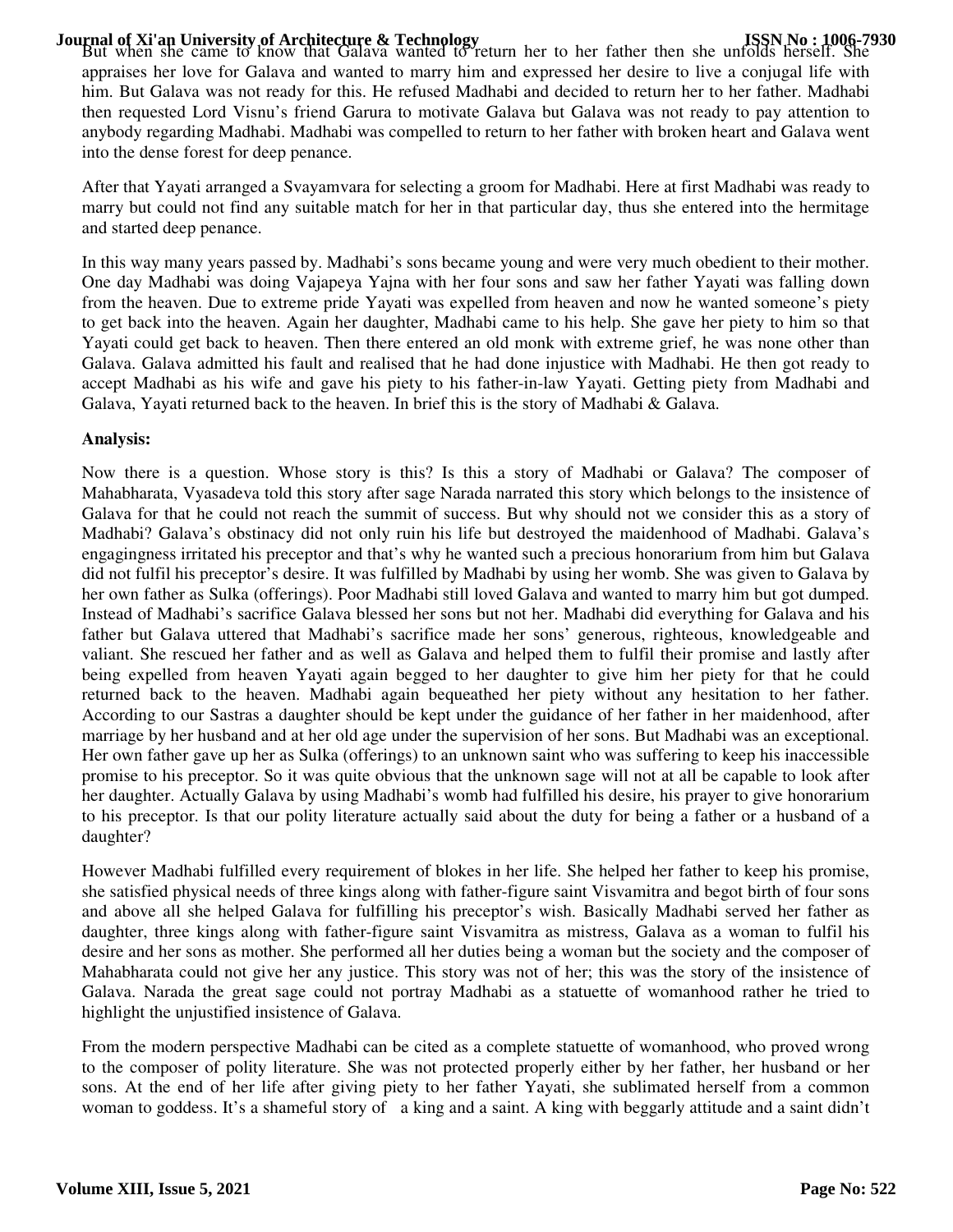**Journal of Xi'an University of Architecture & Technology**<br>But when she came to know that Galava wanted to return her to her father then she unfolds herself. She appraises her love for Galava and wanted to marry him and expressed her desire to live a conjugal life with him. But Galava was not ready for this. He refused Madhabi and decided to return her to her father. Madhabi then requested Lord Visnu's friend Garura to motivate Galava but Galava was not ready to pay attention to anybody regarding Madhabi. Madhabi was compelled to return to her father with broken heart and Galava went into the dense forest for deep penance.

After that Yayati arranged a Svayamvara for selecting a groom for Madhabi. Here at first Madhabi was ready to marry but could not find any suitable match for her in that particular day, thus she entered into the hermitage and started deep penance.

In this way many years passed by. Madhabi's sons became young and were very much obedient to their mother. One day Madhabi was doing Vajapeya Yajna with her four sons and saw her father Yayati was falling down from the heaven. Due to extreme pride Yayati was expelled from heaven and now he wanted someone's piety to get back into the heaven. Again her daughter, Madhabi came to his help. She gave her piety to him so that Yayati could get back to heaven. Then there entered an old monk with extreme grief, he was none other than Galava. Galava admitted his fault and realised that he had done injustice with Madhabi. He then got ready to accept Madhabi as his wife and gave his piety to his father-in-law Yayati. Getting piety from Madhabi and Galava, Yayati returned back to the heaven. In brief this is the story of Madhabi & Galava.

## **Analysis:**

Now there is a question. Whose story is this? Is this a story of Madhabi or Galava? The composer of Mahabharata, Vyasadeva told this story after sage Narada narrated this story which belongs to the insistence of Galava for that he could not reach the summit of success. But why should not we consider this as a story of Madhabi? Galava's obstinacy did not only ruin his life but destroyed the maidenhood of Madhabi. Galava's engagingness irritated his preceptor and that's why he wanted such a precious honorarium from him but Galava did not fulfil his preceptor's desire. It was fulfilled by Madhabi by using her womb. She was given to Galava by her own father as Sulka (offerings). Poor Madhabi still loved Galava and wanted to marry him but got dumped. Instead of Madhabi's sacrifice Galava blessed her sons but not her. Madhabi did everything for Galava and his father but Galava uttered that Madhabi's sacrifice made her sons' generous, righteous, knowledgeable and valiant. She rescued her father and as well as Galava and helped them to fulfil their promise and lastly after being expelled from heaven Yayati again begged to her daughter to give him her piety for that he could returned back to the heaven. Madhabi again bequeathed her piety without any hesitation to her father. According to our Sastras a daughter should be kept under the guidance of her father in her maidenhood, after marriage by her husband and at her old age under the supervision of her sons. But Madhabi was an exceptional. Her own father gave up her as Sulka (offerings) to an unknown saint who was suffering to keep his inaccessible promise to his preceptor. So it was quite obvious that the unknown sage will not at all be capable to look after her daughter. Actually Galava by using Madhabi's womb had fulfilled his desire, his prayer to give honorarium to his preceptor. Is that our polity literature actually said about the duty for being a father or a husband of a daughter?

However Madhabi fulfilled every requirement of blokes in her life. She helped her father to keep his promise, she satisfied physical needs of three kings along with father-figure saint Visvamitra and begot birth of four sons and above all she helped Galava for fulfilling his preceptor's wish. Basically Madhabi served her father as daughter, three kings along with father-figure saint Visvamitra as mistress, Galava as a woman to fulfil his desire and her sons as mother. She performed all her duties being a woman but the society and the composer of Mahabharata could not give her any justice. This story was not of her; this was the story of the insistence of Galava. Narada the great sage could not portray Madhabi as a statuette of womanhood rather he tried to highlight the unjustified insistence of Galava.

From the modern perspective Madhabi can be cited as a complete statuette of womanhood, who proved wrong to the composer of polity literature. She was not protected properly either by her father, her husband or her sons. At the end of her life after giving piety to her father Yayati, she sublimated herself from a common woman to goddess. It's a shameful story of a king and a saint. A king with beggarly attitude and a saint didn't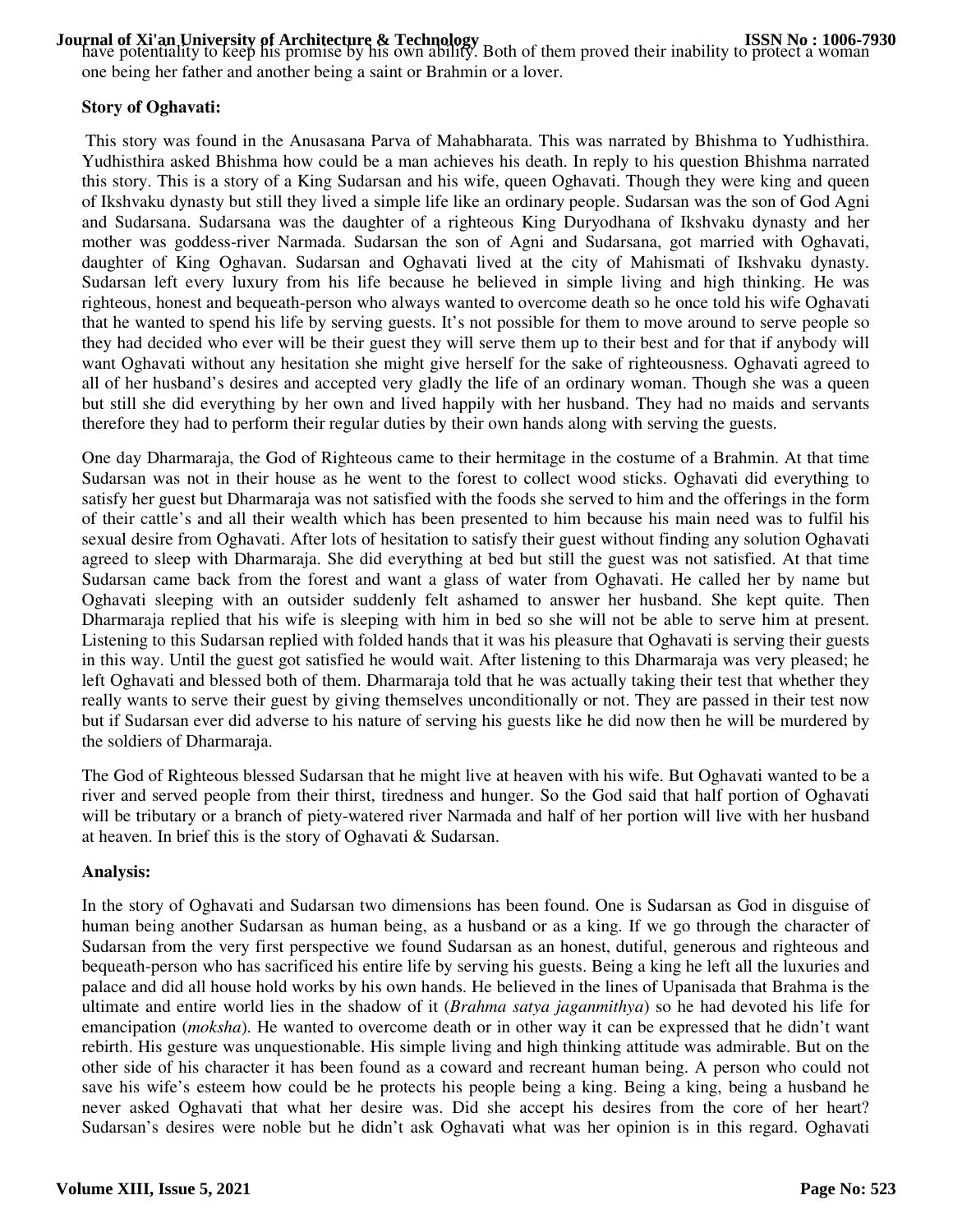**Journal of Xi'an University of Architecture & Technology**<br>have potentiality to keep his promise by his own ability. Both of them proved their inability to protect a woman one being her father and another being a saint or Brahmin or a lover.

# **Story of Oghavati:**

This story was found in the Anusasana Parva of Mahabharata. This was narrated by Bhishma to Yudhisthira. Yudhisthira asked Bhishma how could be a man achieves his death. In reply to his question Bhishma narrated this story. This is a story of a King Sudarsan and his wife, queen Oghavati. Though they were king and queen of Ikshvaku dynasty but still they lived a simple life like an ordinary people. Sudarsan was the son of God Agni and Sudarsana. Sudarsana was the daughter of a righteous King Duryodhana of Ikshvaku dynasty and her mother was goddess-river Narmada. Sudarsan the son of Agni and Sudarsana, got married with Oghavati, daughter of King Oghavan. Sudarsan and Oghavati lived at the city of Mahismati of Ikshvaku dynasty. Sudarsan left every luxury from his life because he believed in simple living and high thinking. He was righteous, honest and bequeath-person who always wanted to overcome death so he once told his wife Oghavati that he wanted to spend his life by serving guests. It's not possible for them to move around to serve people so they had decided who ever will be their guest they will serve them up to their best and for that if anybody will want Oghavati without any hesitation she might give herself for the sake of righteousness. Oghavati agreed to all of her husband's desires and accepted very gladly the life of an ordinary woman. Though she was a queen but still she did everything by her own and lived happily with her husband. They had no maids and servants therefore they had to perform their regular duties by their own hands along with serving the guests.

One day Dharmaraja, the God of Righteous came to their hermitage in the costume of a Brahmin. At that time Sudarsan was not in their house as he went to the forest to collect wood sticks. Oghavati did everything to satisfy her guest but Dharmaraja was not satisfied with the foods she served to him and the offerings in the form of their cattle's and all their wealth which has been presented to him because his main need was to fulfil his sexual desire from Oghavati. After lots of hesitation to satisfy their guest without finding any solution Oghavati agreed to sleep with Dharmaraja. She did everything at bed but still the guest was not satisfied. At that time Sudarsan came back from the forest and want a glass of water from Oghavati. He called her by name but Oghavati sleeping with an outsider suddenly felt ashamed to answer her husband. She kept quite. Then Dharmaraja replied that his wife is sleeping with him in bed so she will not be able to serve him at present. Listening to this Sudarsan replied with folded hands that it was his pleasure that Oghavati is serving their guests in this way. Until the guest got satisfied he would wait. After listening to this Dharmaraja was very pleased; he left Oghavati and blessed both of them. Dharmaraja told that he was actually taking their test that whether they really wants to serve their guest by giving themselves unconditionally or not. They are passed in their test now but if Sudarsan ever did adverse to his nature of serving his guests like he did now then he will be murdered by the soldiers of Dharmaraja.

The God of Righteous blessed Sudarsan that he might live at heaven with his wife. But Oghavati wanted to be a river and served people from their thirst, tiredness and hunger. So the God said that half portion of Oghavati will be tributary or a branch of piety-watered river Narmada and half of her portion will live with her husband at heaven. In brief this is the story of Oghavati & Sudarsan.

## **Analysis:**

In the story of Oghavati and Sudarsan two dimensions has been found. One is Sudarsan as God in disguise of human being another Sudarsan as human being, as a husband or as a king. If we go through the character of Sudarsan from the very first perspective we found Sudarsan as an honest, dutiful, generous and righteous and bequeath-person who has sacrificed his entire life by serving his guests. Being a king he left all the luxuries and palace and did all house hold works by his own hands. He believed in the lines of Upanisada that Brahma is the ultimate and entire world lies in the shadow of it (*Brahma satya jaganmithya*) so he had devoted his life for emancipation (*moksha*). He wanted to overcome death or in other way it can be expressed that he didn't want rebirth. His gesture was unquestionable. His simple living and high thinking attitude was admirable. But on the other side of his character it has been found as a coward and recreant human being. A person who could not save his wife's esteem how could be he protects his people being a king. Being a king, being a husband he never asked Oghavati that what her desire was. Did she accept his desires from the core of her heart? Sudarsan's desires were noble but he didn't ask Oghavati what was her opinion is in this regard. Oghavati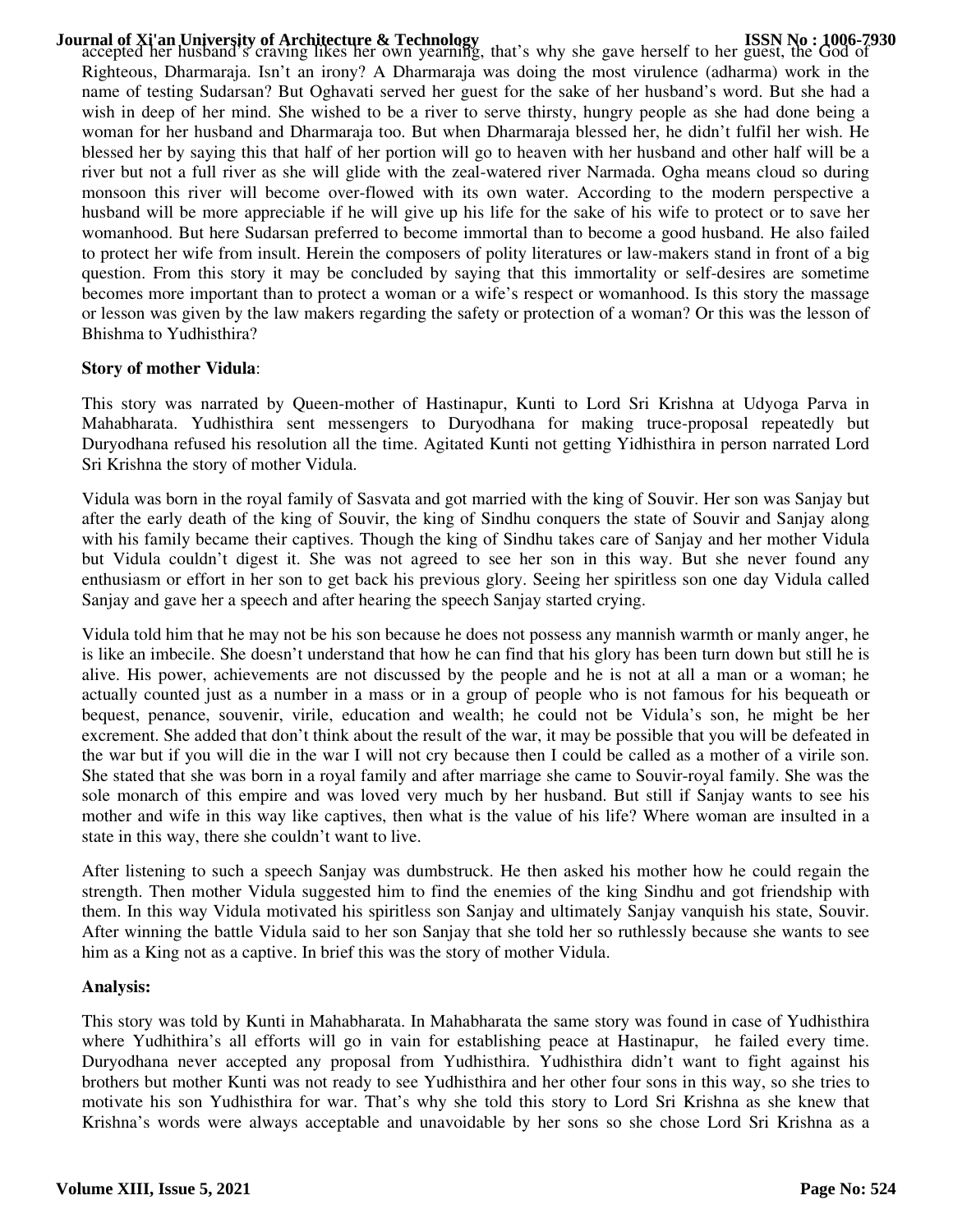**Journal of Xi'an University of Architecture & Technology**<br>accepted her husband's craving likes her own yearning, that's why she gave herself to her guest, the God of Righteous, Dharmaraja. Isn't an irony? A Dharmaraja was doing the most virulence (adharma) work in the name of testing Sudarsan? But Oghavati served her guest for the sake of her husband's word. But she had a wish in deep of her mind. She wished to be a river to serve thirsty, hungry people as she had done being a woman for her husband and Dharmaraja too. But when Dharmaraja blessed her, he didn't fulfil her wish. He blessed her by saying this that half of her portion will go to heaven with her husband and other half will be a river but not a full river as she will glide with the zeal-watered river Narmada. Ogha means cloud so during monsoon this river will become over-flowed with its own water. According to the modern perspective a husband will be more appreciable if he will give up his life for the sake of his wife to protect or to save her womanhood. But here Sudarsan preferred to become immortal than to become a good husband. He also failed to protect her wife from insult. Herein the composers of polity literatures or law-makers stand in front of a big question. From this story it may be concluded by saying that this immortality or self-desires are sometime becomes more important than to protect a woman or a wife's respect or womanhood. Is this story the massage or lesson was given by the law makers regarding the safety or protection of a woman? Or this was the lesson of Bhishma to Yudhisthira?

## **Story of mother Vidula**:

This story was narrated by Queen-mother of Hastinapur, Kunti to Lord Sri Krishna at Udyoga Parva in Mahabharata. Yudhisthira sent messengers to Duryodhana for making truce-proposal repeatedly but Duryodhana refused his resolution all the time. Agitated Kunti not getting Yidhisthira in person narrated Lord Sri Krishna the story of mother Vidula.

Vidula was born in the royal family of Sasvata and got married with the king of Souvir. Her son was Sanjay but after the early death of the king of Souvir, the king of Sindhu conquers the state of Souvir and Sanjay along with his family became their captives. Though the king of Sindhu takes care of Sanjay and her mother Vidula but Vidula couldn't digest it. She was not agreed to see her son in this way. But she never found any enthusiasm or effort in her son to get back his previous glory. Seeing her spiritless son one day Vidula called Sanjay and gave her a speech and after hearing the speech Sanjay started crying.

Vidula told him that he may not be his son because he does not possess any mannish warmth or manly anger, he is like an imbecile. She doesn't understand that how he can find that his glory has been turn down but still he is alive. His power, achievements are not discussed by the people and he is not at all a man or a woman; he actually counted just as a number in a mass or in a group of people who is not famous for his bequeath or bequest, penance, souvenir, virile, education and wealth; he could not be Vidula's son, he might be her excrement. She added that don't think about the result of the war, it may be possible that you will be defeated in the war but if you will die in the war I will not cry because then I could be called as a mother of a virile son. She stated that she was born in a royal family and after marriage she came to Souvir-royal family. She was the sole monarch of this empire and was loved very much by her husband. But still if Sanjay wants to see his mother and wife in this way like captives, then what is the value of his life? Where woman are insulted in a state in this way, there she couldn't want to live.

After listening to such a speech Sanjay was dumbstruck. He then asked his mother how he could regain the strength. Then mother Vidula suggested him to find the enemies of the king Sindhu and got friendship with them. In this way Vidula motivated his spiritless son Sanjay and ultimately Sanjay vanquish his state, Souvir. After winning the battle Vidula said to her son Sanjay that she told her so ruthlessly because she wants to see him as a King not as a captive. In brief this was the story of mother Vidula.

### **Analysis:**

This story was told by Kunti in Mahabharata. In Mahabharata the same story was found in case of Yudhisthira where Yudhithira's all efforts will go in vain for establishing peace at Hastinapur, he failed every time. Duryodhana never accepted any proposal from Yudhisthira. Yudhisthira didn't want to fight against his brothers but mother Kunti was not ready to see Yudhisthira and her other four sons in this way, so she tries to motivate his son Yudhisthira for war. That's why she told this story to Lord Sri Krishna as she knew that Krishna's words were always acceptable and unavoidable by her sons so she chose Lord Sri Krishna as a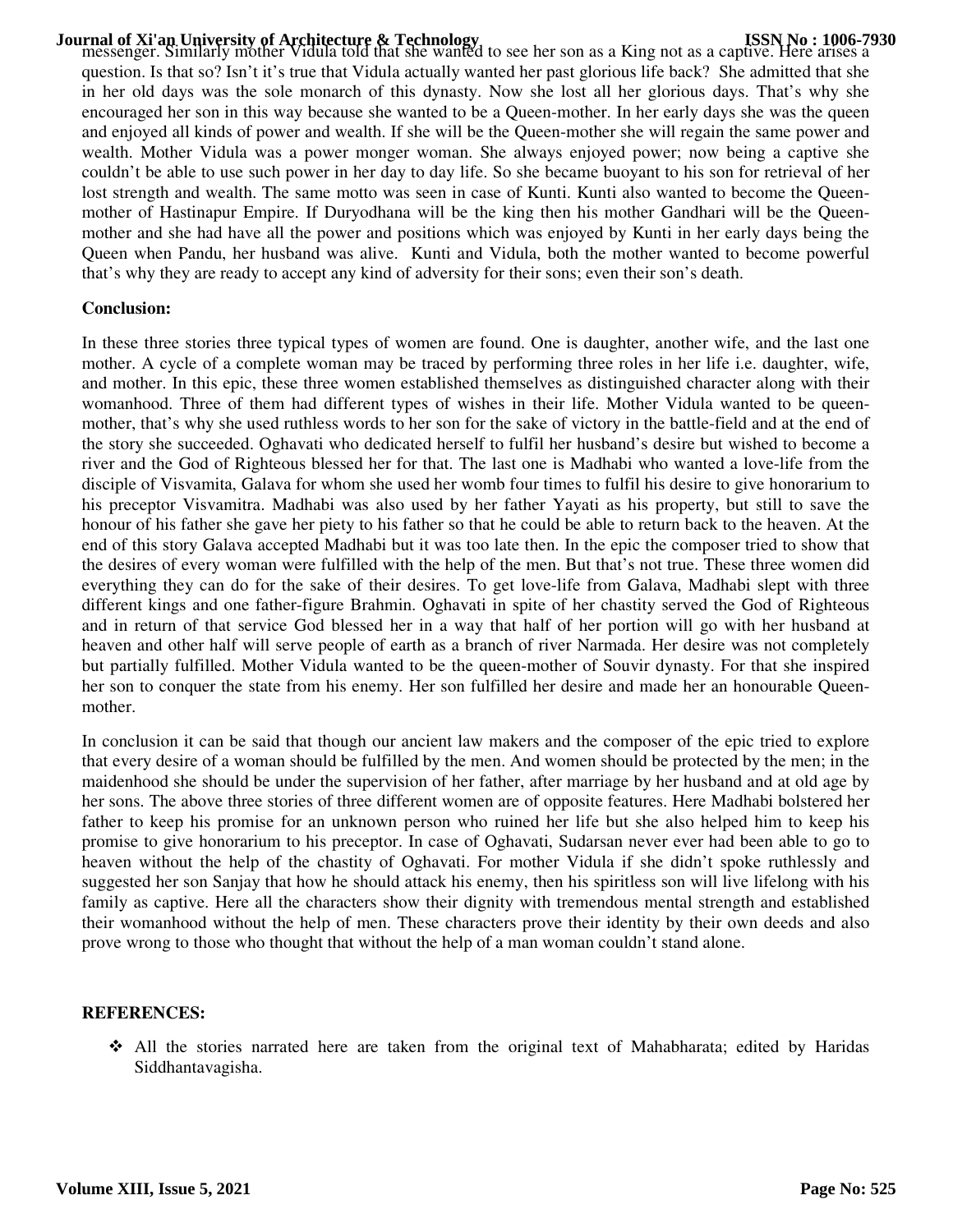**Journal of Xi'an University of Architecture & Technology**<br>messenger. Similarly mother Vidula told that she wanted to see her son as a King not as a captive. Here arises a question. Is that so? Isn't it's true that Vidula actually wanted her past glorious life back? She admitted that she in her old days was the sole monarch of this dynasty. Now she lost all her glorious days. That's why she encouraged her son in this way because she wanted to be a Queen-mother. In her early days she was the queen and enjoyed all kinds of power and wealth. If she will be the Queen-mother she will regain the same power and wealth. Mother Vidula was a power monger woman. She always enjoyed power; now being a captive she couldn't be able to use such power in her day to day life. So she became buoyant to his son for retrieval of her lost strength and wealth. The same motto was seen in case of Kunti. Kunti also wanted to become the Queenmother of Hastinapur Empire. If Duryodhana will be the king then his mother Gandhari will be the Queenmother and she had have all the power and positions which was enjoyed by Kunti in her early days being the Queen when Pandu, her husband was alive. Kunti and Vidula, both the mother wanted to become powerful that's why they are ready to accept any kind of adversity for their sons; even their son's death.

## **Conclusion:**

In these three stories three typical types of women are found. One is daughter, another wife, and the last one mother. A cycle of a complete woman may be traced by performing three roles in her life i.e. daughter, wife, and mother. In this epic, these three women established themselves as distinguished character along with their womanhood. Three of them had different types of wishes in their life. Mother Vidula wanted to be queenmother, that's why she used ruthless words to her son for the sake of victory in the battle-field and at the end of the story she succeeded. Oghavati who dedicated herself to fulfil her husband's desire but wished to become a river and the God of Righteous blessed her for that. The last one is Madhabi who wanted a love-life from the disciple of Visvamita, Galava for whom she used her womb four times to fulfil his desire to give honorarium to his preceptor Visvamitra. Madhabi was also used by her father Yayati as his property, but still to save the honour of his father she gave her piety to his father so that he could be able to return back to the heaven. At the end of this story Galava accepted Madhabi but it was too late then. In the epic the composer tried to show that the desires of every woman were fulfilled with the help of the men. But that's not true. These three women did everything they can do for the sake of their desires. To get love-life from Galava, Madhabi slept with three different kings and one father-figure Brahmin. Oghavati in spite of her chastity served the God of Righteous and in return of that service God blessed her in a way that half of her portion will go with her husband at heaven and other half will serve people of earth as a branch of river Narmada. Her desire was not completely but partially fulfilled. Mother Vidula wanted to be the queen-mother of Souvir dynasty. For that she inspired her son to conquer the state from his enemy. Her son fulfilled her desire and made her an honourable Queenmother.

In conclusion it can be said that though our ancient law makers and the composer of the epic tried to explore that every desire of a woman should be fulfilled by the men. And women should be protected by the men; in the maidenhood she should be under the supervision of her father, after marriage by her husband and at old age by her sons. The above three stories of three different women are of opposite features. Here Madhabi bolstered her father to keep his promise for an unknown person who ruined her life but she also helped him to keep his promise to give honorarium to his preceptor. In case of Oghavati, Sudarsan never ever had been able to go to heaven without the help of the chastity of Oghavati. For mother Vidula if she didn't spoke ruthlessly and suggested her son Sanjay that how he should attack his enemy, then his spiritless son will live lifelong with his family as captive. Here all the characters show their dignity with tremendous mental strength and established their womanhood without the help of men. These characters prove their identity by their own deeds and also prove wrong to those who thought that without the help of a man woman couldn't stand alone.

### **REFERENCES:**

 All the stories narrated here are taken from the original text of Mahabharata; edited by Haridas Siddhantavagisha.